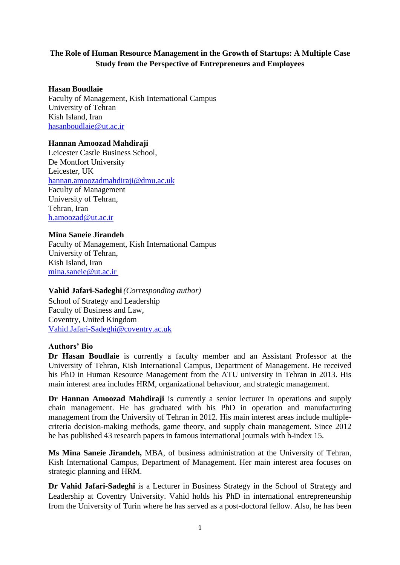# **The Role of Human Resource Management in the Growth of Startups: A Multiple Case Study from the Perspective of Entrepreneurs and Employees**

## **Hasan Boudlaie**

Faculty of Management, Kish International Campus University of Tehran Kish Island, Iran hasanboudlaie@ut.ac.ir

## **Hannan Amoozad Mahdiraji**

Leicester Castle Business School, De Montfort University Leicester, UK [hannan.amoozadmahdiraji@dmu.ac.uk](mailto:hannan.amoozadmahdiraji@dmu.ac.uk) Faculty of Management University of Tehran, Tehran, Iran [h.amoozad@ut.ac.ir](mailto:h.amoozad@ut.ac.ir)

## **Mina Saneie Jirandeh**

Faculty of Management, Kish International Campus University of Tehran, Kish Island, Iran [mina.saneie@ut.ac.ir](mailto:mina.saneie@ut.ac.ir)

## **Vahid Jafari-Sadeghi***(Corresponding author)* School of Strategy and Leadership Faculty of Business and Law,

Coventry, United Kingdom Vahid.Jafari-Sadeghi@coventry.ac.uk

## **Authors' Bio**

**Dr Hasan Boudlaie** is currently a faculty member and an Assistant Professor at the University of Tehran, Kish International Campus, Department of Management. He received his PhD in Human Resource Management from the ATU university in Tehran in 2013. His main interest area includes HRM, organizational behaviour, and strategic management.

**Dr Hannan Amoozad Mahdiraji** is currently a senior lecturer in operations and supply chain management. He has graduated with his PhD in operation and manufacturing management from the University of Tehran in 2012. His main interest areas include multiplecriteria decision-making methods, game theory, and supply chain management. Since 2012 he has published 43 research papers in famous international journals with h-index 15.

**Ms Mina Saneie Jirandeh,** MBA, of business administration at the University of Tehran, Kish International Campus, Department of Management. Her main interest area focuses on strategic planning and HRM.

**Dr Vahid Jafari-Sadeghi** is a Lecturer in Business Strategy in the School of Strategy and Leadership at Coventry University. Vahid holds his PhD in international entrepreneurship from the University of Turin where he has served as a post-doctoral fellow. Also, he has been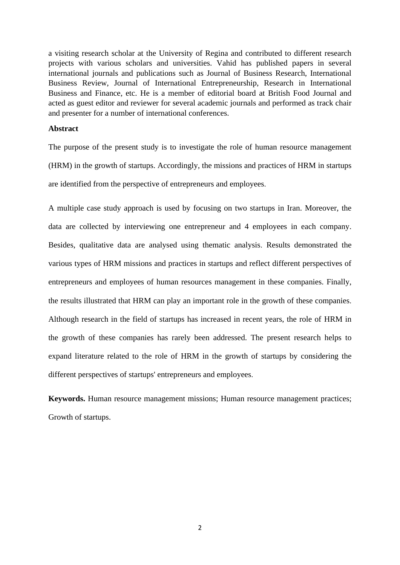a visiting research scholar at the University of Regina and contributed to different research projects with various scholars and universities. Vahid has published papers in several international journals and publications such as Journal of Business Research, International Business Review, Journal of International Entrepreneurship, Research in International Business and Finance, etc. He is a member of editorial board at British Food Journal and acted as guest editor and reviewer for several academic journals and performed as track chair and presenter for a number of international conferences.

### **Abstract**

The purpose of the present study is to investigate the role of human resource management (HRM) in the growth of startups. Accordingly, the missions and practices of HRM in startups are identified from the perspective of entrepreneurs and employees .

A multiple case study approach is used by focusing on two startups in Iran. Moreover, the data are collected by interviewing one entrepreneur and 4 employees in each company. Besides, qualitative data are analysed using thematic analysis. Results demonstrated the various types of HRM missions and practices in startups and reflect different perspectives of entrepreneurs and employees of human resources management in these companies. Finally, the results illustrated that HRM can play an important role in the growth of these companies. Although research in the field of startups has increased in recent years, the role of HRM in the growth of these companies has rarely been addressed. The present research helps to expand literature related to the role of HRM in the growth of startups by considering the different perspectives of startups' entrepreneurs and employees.

**Keywords.** Human resource management missions; Human resource management practices; Growth of startups.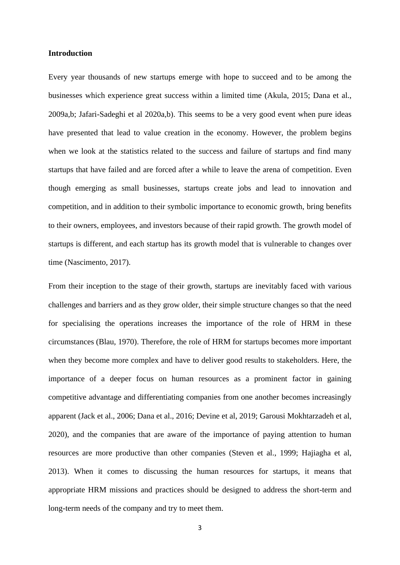#### **Introduction**

Every year thousands of new startups emerge with hope to succeed and to be among the businesses which experience great success within a limited time (Akula, 2015; Dana et al., 2009a,b; Jafari-Sadeghi et al 2020a,b). This seems to be a very good event when pure ideas have presented that lead to value creation in the economy. However, the problem begins when we look at the statistics related to the success and failure of startups and find many startups that have failed and are forced after a while to leave the arena of competition. Even though emerging as small businesses, startups create jobs and lead to innovation and competition, and in addition to their symbolic importance to economic growth, bring benefits to their owners, employees, and investors because of their rapid growth. The growth model of startups is different, and each startup has its growth model that is vulnerable to changes over time (Nascimento, 2017).

From their inception to the stage of their growth, startups are inevitably faced with various challenges and barriers and as they grow older, their simple structure changes so that the need for specialising the operations increases the importance of the role of HRM in these circumstances (Blau, 1970). Therefore, the role of HRM for startups becomes more important when they become more complex and have to deliver good results to stakeholders. Here, the importance of a deeper focus on human resources as a prominent factor in gaining competitive advantage and differentiating companies from one another becomes increasingly apparent (Jack et al., 2006; Dana et al., 2016; Devine et al, 2019; Garousi Mokhtarzadeh et al, 2020), and the companies that are aware of the importance of paying attention to human resources are more productive than other companies (Steven et al., 1999; Hajiagha et al, 2013). When it comes to discussing the human resources for startups, it means that appropriate HRM missions and practices should be designed to address the short-term and long-term needs of the company and try to meet them.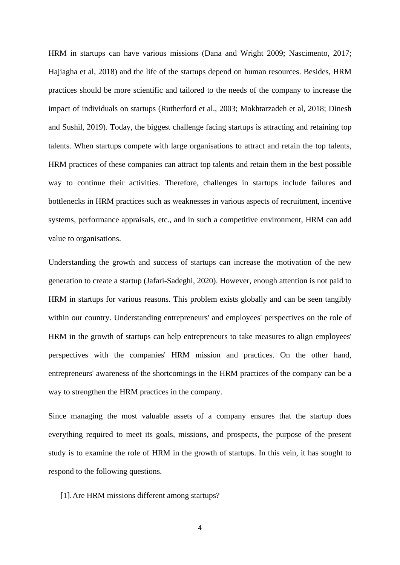HRM in startups can have various missions (Dana and Wright 2009; Nascimento, 2017; Hajiagha et al, 2018) and the life of the startups depend on human resources. Besides, HRM practices should be more scientific and tailored to the needs of the company to increase the impact of individuals on startups (Rutherford et al., 2003; Mokhtarzadeh et al, 2018; Dinesh and Sushil, 2019). Today, the biggest challenge facing startups is attracting and retaining top talents. When startups compete with large organisations to attract and retain the top talents, HRM practices of these companies can attract top talents and retain them in the best possible way to continue their activities. Therefore, challenges in startups include failures and bottlenecks in HRM practices such as weaknesses in various aspects of recruitment, incentive systems, performance appraisals, etc., and in such a competitive environment, HRM can add value to organisations.

Understanding the growth and success of startups can increase the motivation of the new generation to create a startup (Jafari-Sadeghi, 2020). However, enough attention is not paid to HRM in startups for various reasons. This problem exists globally and can be seen tangibly within our country. Understanding entrepreneurs' and employees' perspectives on the role of HRM in the growth of startups can help entrepreneurs to take measures to align employees' perspectives with the companies' HRM mission and practices. On the other hand, entrepreneurs' awareness of the shortcomings in the HRM practices of the company can be a way to strengthen the HRM practices in the company.

Since managing the most valuable assets of a company ensures that the startup does everything required to meet its goals, missions, and prospects, the purpose of the present study is to examine the role of HRM in the growth of startups. In this vein, it has sought to respond to the following questions.

[1].Are HRM missions different among startups?

4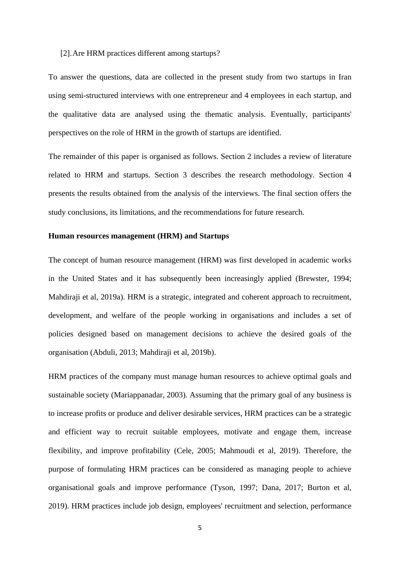#### [2].Are HRM practices different among startups?

To answer the questions, data are collected in the present study from two startups in Iran using semi-structured interviews with one entrepreneur and 4 employees in each startup, and the qualitative data are analysed using the thematic analysis. Eventually, participants' perspectives on the role of HRM in the growth of startups are identified.

The remainder of this paper is organised as follows. Section 2 includes a review of literature related to HRM and startups. Section 3 describes the research methodology. Section 4 presents the results obtained from the analysis of the interviews. The final section offers the study conclusions, its limitations, and the recommendations for future research.

#### **Human resources management (HRM) and Startups**

The concept of human resource management (HRM) was first developed in academic works in the United States and it has subsequently been increasingly applied (Brewster, 1994; Mahdiraji et al, 2019a). HRM is a strategic, integrated and coherent approach to recruitment, development, and welfare of the people working in organisations and includes a set of policies designed based on management decisions to achieve the desired goals of the organisation (Abduli, 2013; Mahdiraji et al, 2019b).

HRM practices of the company must manage human resources to achieve optimal goals and sustainable society (Mariappanadar, 2003). Assuming that the primary goal of any business is to increase profits or produce and deliver desirable services, HRM practices can be a strategic and efficient way to recruit suitable employees, motivate and engage them, increase flexibility, and improve profitability (Cele, 2005; Mahmoudi et al, 2019). Therefore, the purpose of formulating HRM practices can be considered as managing people to achieve organisational goals and improve performance (Tyson, 1997; Dana, 2017; Burton et al, 2019). HRM practices include job design, employees' recruitment and selection, performance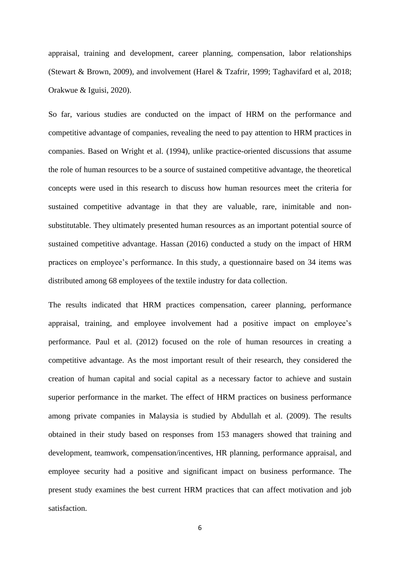appraisal, training and development, career planning, compensation, labor relationships (Stewart & Brown, 2009), and involvement (Harel & Tzafrir, 1999; Taghavifard et al, 2018; Orakwue & Iguisi, 2020).

So far, various studies are conducted on the impact of HRM on the performance and competitive advantage of companies, revealing the need to pay attention to HRM practices in companies. Based on Wright et al. (1994), unlike practice-oriented discussions that assume the role of human resources to be a source of sustained competitive advantage, the theoretical concepts were used in this research to discuss how human resources meet the criteria for sustained competitive advantage in that they are valuable, rare, inimitable and nonsubstitutable. They ultimately presented human resources as an important potential source of sustained competitive advantage. Hassan (2016) conducted a study on the impact of HRM practices on employee's performance. In this study, a questionnaire based on 34 items was distributed among 68 employees of the textile industry for data collection.

The results indicated that HRM practices compensation, career planning, performance appraisal, training, and employee involvement had a positive impact on employee's performance. Paul et al. (2012) focused on the role of human resources in creating a competitive advantage. As the most important result of their research, they considered the creation of human capital and social capital as a necessary factor to achieve and sustain superior performance in the market. The effect of HRM practices on business performance among private companies in Malaysia is studied by Abdullah et al. (2009). The results obtained in their study based on responses from 153 managers showed that training and development, teamwork, compensation/incentives, HR planning, performance appraisal, and employee security had a positive and significant impact on business performance. The present study examines the best current HRM practices that can affect motivation and job satisfaction.

6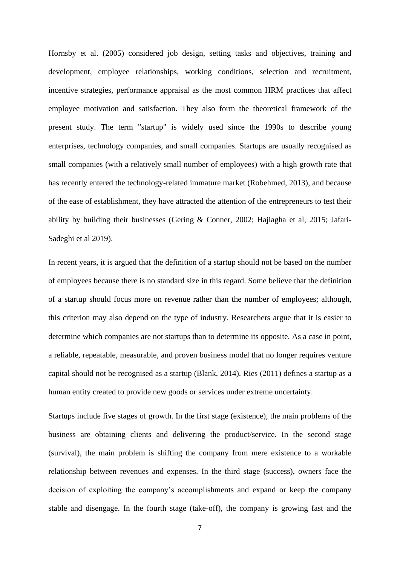Hornsby et al. (2005) considered job design, setting tasks and objectives, training and development, employee relationships, working conditions, selection and recruitment, incentive strategies, performance appraisal as the most common HRM practices that affect employee motivation and satisfaction. They also form the theoretical framework of the present study. The term "startup" is widely used since the 1990s to describe young enterprises, technology companies, and small companies. Startups are usually recognised as small companies (with a relatively small number of employees) with a high growth rate that has recently entered the technology-related immature market (Robehmed, 2013), and because of the ease of establishment, they have attracted the attention of the entrepreneurs to test their ability by building their businesses (Gering & Conner, 2002; Hajiagha et al, 2015; Jafari-Sadeghi et al 2019).

In recent years, it is argued that the definition of a startup should not be based on the number of employees because there is no standard size in this regard. Some believe that the definition of a startup should focus more on revenue rather than the number of employees; although, this criterion may also depend on the type of industry. Researchers argue that it is easier to determine which companies are not startups than to determine its opposite. As a case in point, a reliable, repeatable, measurable, and proven business model that no longer requires venture capital should not be recognised as a startup (Blank, 2014). Ries (2011) defines a startup as a human entity created to provide new goods or services under extreme uncertainty.

Startups include five stages of growth. In the first stage (existence), the main problems of the business are obtaining clients and delivering the product/service. In the second stage (survival), the main problem is shifting the company from mere existence to a workable relationship between revenues and expenses. In the third stage (success), owners face the decision of exploiting the company's accomplishments and expand or keep the company stable and disengage. In the fourth stage (take-off), the company is growing fast and the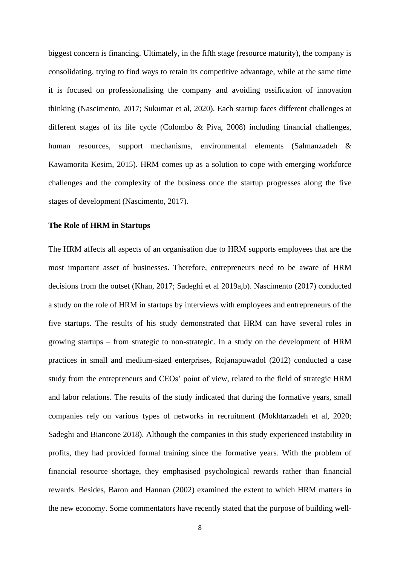biggest concern is financing. Ultimately, in the fifth stage (resource maturity), the company is consolidating, trying to find ways to retain its competitive advantage, while at the same time it is focused on professionalising the company and avoiding ossification of innovation thinking (Nascimento, 2017; Sukumar et al, 2020). Each startup faces different challenges at different stages of its life cycle (Colombo & Piva, 2008) including financial challenges, human resources, support mechanisms, environmental elements (Salmanzadeh & Kawamorita Kesim, 2015). HRM comes up as a solution to cope with emerging workforce challenges and the complexity of the business once the startup progresses along the five stages of development (Nascimento, 2017).

#### **The Role of HRM in Startups**

The HRM affects all aspects of an organisation due to HRM supports employees that are the most important asset of businesses. Therefore, entrepreneurs need to be aware of HRM decisions from the outset (Khan, 2017; Sadeghi et al 2019a,b). Nascimento (2017) conducted a study on the role of HRM in startups by interviews with employees and entrepreneurs of the five startups. The results of his study demonstrated that HRM can have several roles in growing startups – from strategic to non-strategic. In a study on the development of HRM practices in small and medium-sized enterprises, Rojanapuwadol (2012) conducted a case study from the entrepreneurs and CEOs' point of view, related to the field of strategic HRM and labor relations. The results of the study indicated that during the formative years, small companies rely on various types of networks in recruitment (Mokhtarzadeh et al, 2020; Sadeghi and Biancone 2018). Although the companies in this study experienced instability in profits, they had provided formal training since the formative years. With the problem of financial resource shortage, they emphasised psychological rewards rather than financial rewards. Besides, Baron and Hannan (2002) examined the extent to which HRM matters in the new economy. Some commentators have recently stated that the purpose of building well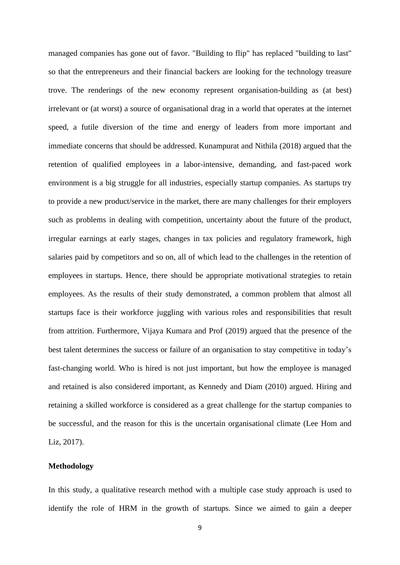managed companies has gone out of favor. "Building to flip" has replaced "building to last" so that the entrepreneurs and their financial backers are looking for the technology treasure trove. The renderings of the new economy represent organisation-building as (at best) irrelevant or (at worst) a source of organisational drag in a world that operates at the internet speed, a futile diversion of the time and energy of leaders from more important and immediate concerns that should be addressed. Kunampurat and Nithila (2018) argued that the retention of qualified employees in a labor-intensive, demanding, and fast-paced work environment is a big struggle for all industries, especially startup companies. As startups try to provide a new product/service in the market, there are many challenges for their employers such as problems in dealing with competition, uncertainty about the future of the product, irregular earnings at early stages, changes in tax policies and regulatory framework, high salaries paid by competitors and so on, all of which lead to the challenges in the retention of employees in startups. Hence, there should be appropriate motivational strategies to retain employees. As the results of their study demonstrated, a common problem that almost all startups face is their workforce juggling with various roles and responsibilities that result from attrition. Furthermore, Vijaya Kumara and Prof (2019) argued that the presence of the best talent determines the success or failure of an organisation to stay competitive in today's fast-changing world. Who is hired is not just important, but how the employee is managed and retained is also considered important, as Kennedy and Diam (2010) argued. Hiring and retaining a skilled workforce is considered as a great challenge for the startup companies to be successful, and the reason for this is the uncertain organisational climate (Lee Hom and Liz, 2017).

### **Methodology**

In this study, a qualitative research method with a multiple case study approach is used to identify the role of HRM in the growth of startups. Since we aimed to gain a deeper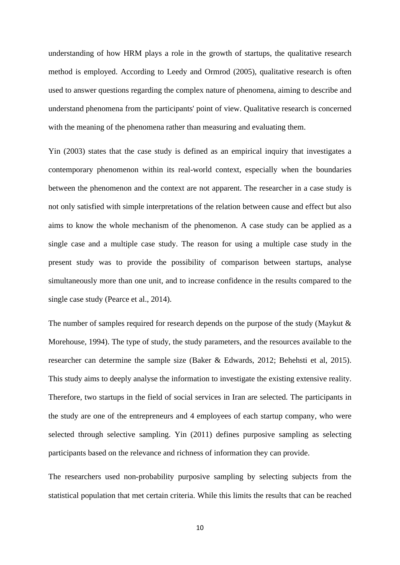understanding of how HRM plays a role in the growth of startups, the qualitative research method is employed. According to Leedy and Ormrod (2005), qualitative research is often used to answer questions regarding the complex nature of phenomena, aiming to describe and understand phenomena from the participants' point of view. Qualitative research is concerned with the meaning of the phenomena rather than measuring and evaluating them.

Yin (2003) states that the case study is defined as an empirical inquiry that investigates a contemporary phenomenon within its real-world context, especially when the boundaries between the phenomenon and the context are not apparent. The researcher in a case study is not only satisfied with simple interpretations of the relation between cause and effect but also aims to know the whole mechanism of the phenomenon. A case study can be applied as a single case and a multiple case study. The reason for using a multiple case study in the present study was to provide the possibility of comparison between startups, analyse simultaneously more than one unit, and to increase confidence in the results compared to the single case study (Pearce et al., 2014).

The number of samples required for research depends on the purpose of the study (Maykut & Morehouse, 1994). The type of study, the study parameters, and the resources available to the researcher can determine the sample size (Baker & Edwards, 2012; Behehsti et al, 2015). This study aims to deeply analyse the information to investigate the existing extensive reality. Therefore, two startups in the field of social services in Iran are selected. The participants in the study are one of the entrepreneurs and 4 employees of each startup company, who were selected through selective sampling. Yin (2011) defines purposive sampling as selecting participants based on the relevance and richness of information they can provide.

The researchers used non-probability purposive sampling by selecting subjects from the statistical population that met certain criteria. While this limits the results that can be reached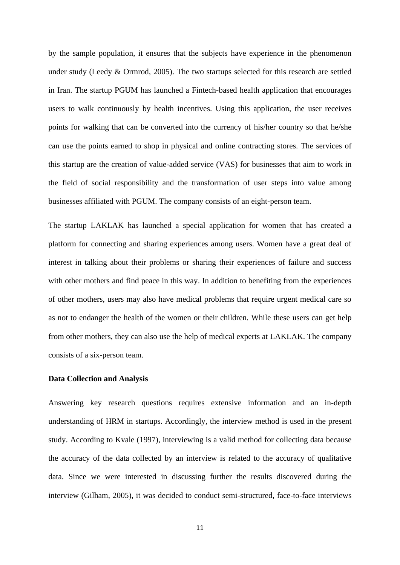by the sample population, it ensures that the subjects have experience in the phenomenon under study (Leedy & Ormrod, 2005). The two startups selected for this research are settled in Iran. The startup PGUM has launched a Fintech-based health application that encourages users to walk continuously by health incentives. Using this application, the user receives points for walking that can be converted into the currency of his/her country so that he/she can use the points earned to shop in physical and online contracting stores. The services of this startup are the creation of value-added service (VAS) for businesses that aim to work in the field of social responsibility and the transformation of user steps into value among businesses affiliated with PGUM. The company consists of an eight-person team.

The startup LAKLAK has launched a special application for women that has created a platform for connecting and sharing experiences among users. Women have a great deal of interest in talking about their problems or sharing their experiences of failure and success with other mothers and find peace in this way. In addition to benefiting from the experiences of other mothers, users may also have medical problems that require urgent medical care so as not to endanger the health of the women or their children. While these users can get help from other mothers, they can also use the help of medical experts at LAKLAK. The company consists of a six-person team.

#### **Data Collection and Analysis**

Answering key research questions requires extensive information and an in-depth understanding of HRM in startups. Accordingly, the interview method is used in the present study. According to Kvale (1997), interviewing is a valid method for collecting data because the accuracy of the data collected by an interview is related to the accuracy of qualitative data. Since we were interested in discussing further the results discovered during the interview (Gilham, 2005), it was decided to conduct semi-structured, face-to-face interviews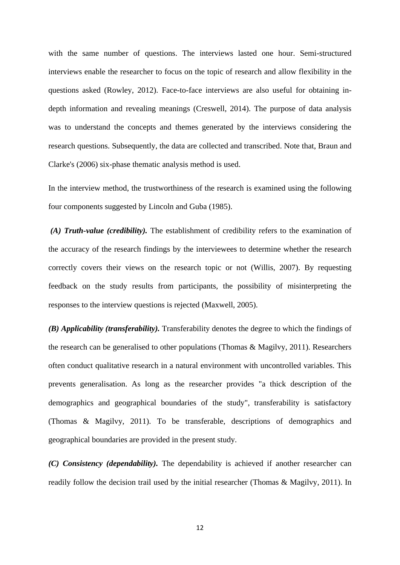with the same number of questions. The interviews lasted one hour. Semi-structured interviews enable the researcher to focus on the topic of research and allow flexibility in the questions asked (Rowley, 2012). Face-to-face interviews are also useful for obtaining indepth information and revealing meanings (Creswell, 2014). The purpose of data analysis was to understand the concepts and themes generated by the interviews considering the research questions. Subsequently, the data are collected and transcribed. Note that, Braun and Clarke's (2006) six-phase thematic analysis method is used.

In the interview method, the trustworthiness of the research is examined using the following four components suggested by Lincoln and Guba (1985).

*(A) Truth-value (credibility).* The establishment of credibility refers to the examination of the accuracy of the research findings by the interviewees to determine whether the research correctly covers their views on the research topic or not (Willis, 2007). By requesting feedback on the study results from participants, the possibility of misinterpreting the responses to the interview questions is rejected (Maxwell, 2005).

*(B) Applicability (transferability).* Transferability denotes the degree to which the findings of the research can be generalised to other populations (Thomas & Magilvy, 2011). Researchers often conduct qualitative research in a natural environment with uncontrolled variables. This prevents generalisation. As long as the researcher provides "a thick description of the demographics and geographical boundaries of the study", transferability is satisfactory (Thomas & Magilvy, 2011). To be transferable, descriptions of demographics and geographical boundaries are provided in the present study.

*(C) Consistency (dependability).* The dependability is achieved if another researcher can readily follow the decision trail used by the initial researcher (Thomas & Magilvy, 2011). In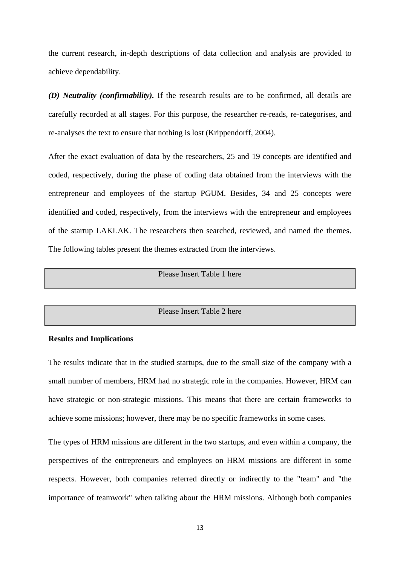the current research, in-depth descriptions of data collection and analysis are provided to achieve dependability.

*(D) Neutrality (confirmability).* If the research results are to be confirmed, all details are carefully recorded at all stages. For this purpose, the researcher re-reads, re-categorises, and re-analyses the text to ensure that nothing is lost (Krippendorff, 2004).

After the exact evaluation of data by the researchers, 25 and 19 concepts are identified and coded, respectively, during the phase of coding data obtained from the interviews with the entrepreneur and employees of the startup PGUM. Besides, 34 and 25 concepts were identified and coded, respectively, from the interviews with the entrepreneur and employees of the startup LAKLAK. The researchers then searched, reviewed, and named the themes. The following tables present the themes extracted from the interviews.

#### Please Insert Table 1 here

#### Please Insert Table 2 here

#### **Results and Implications**

The results indicate that in the studied startups, due to the small size of the company with a small number of members, HRM had no strategic role in the companies. However, HRM can have strategic or non-strategic missions. This means that there are certain frameworks to achieve some missions; however, there may be no specific frameworks in some cases.

The types of HRM missions are different in the two startups, and even within a company, the perspectives of the entrepreneurs and employees on HRM missions are different in some respects. However, both companies referred directly or indirectly to the "team" and "the importance of teamwork" when talking about the HRM missions. Although both companies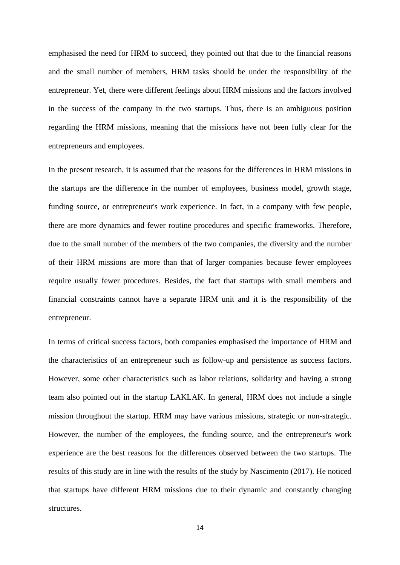emphasised the need for HRM to succeed, they pointed out that due to the financial reasons and the small number of members, HRM tasks should be under the responsibility of the entrepreneur. Yet, there were different feelings about HRM missions and the factors involved in the success of the company in the two startups. Thus, there is an ambiguous position regarding the HRM missions, meaning that the missions have not been fully clear for the entrepreneurs and employees.

In the present research, it is assumed that the reasons for the differences in HRM missions in the startups are the difference in the number of employees, business model, growth stage, funding source, or entrepreneur's work experience. In fact, in a company with few people, there are more dynamics and fewer routine procedures and specific frameworks. Therefore, due to the small number of the members of the two companies, the diversity and the number of their HRM missions are more than that of larger companies because fewer employees require usually fewer procedures. Besides, the fact that startups with small members and financial constraints cannot have a separate HRM unit and it is the responsibility of the entrepreneur.

In terms of critical success factors, both companies emphasised the importance of HRM and the characteristics of an entrepreneur such as follow-up and persistence as success factors. However, some other characteristics such as labor relations, solidarity and having a strong team also pointed out in the startup LAKLAK. In general, HRM does not include a single mission throughout the startup. HRM may have various missions, strategic or non-strategic. However, the number of the employees, the funding source, and the entrepreneur's work experience are the best reasons for the differences observed between the two startups. The results of this study are in line with the results of the study by Nascimento (2017). He noticed that startups have different HRM missions due to their dynamic and constantly changing structures.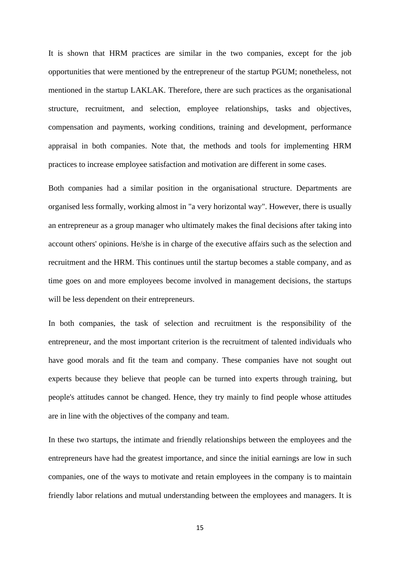It is shown that HRM practices are similar in the two companies, except for the job opportunities that were mentioned by the entrepreneur of the startup PGUM; nonetheless, not mentioned in the startup LAKLAK. Therefore, there are such practices as the organisational structure, recruitment, and selection, employee relationships, tasks and objectives, compensation and payments, working conditions, training and development, performance appraisal in both companies. Note that, the methods and tools for implementing HRM practices to increase employee satisfaction and motivation are different in some cases.

Both companies had a similar position in the organisational structure. Departments are organised less formally, working almost in "a very horizontal way". However, there is usually an entrepreneur as a group manager who ultimately makes the final decisions after taking into account others' opinions. He/she is in charge of the executive affairs such as the selection and recruitment and the HRM. This continues until the startup becomes a stable company, and as time goes on and more employees become involved in management decisions, the startups will be less dependent on their entrepreneurs.

In both companies, the task of selection and recruitment is the responsibility of the entrepreneur, and the most important criterion is the recruitment of talented individuals who have good morals and fit the team and company. These companies have not sought out experts because they believe that people can be turned into experts through training, but people's attitudes cannot be changed. Hence, they try mainly to find people whose attitudes are in line with the objectives of the company and team.

In these two startups, the intimate and friendly relationships between the employees and the entrepreneurs have had the greatest importance, and since the initial earnings are low in such companies, one of the ways to motivate and retain employees in the company is to maintain friendly labor relations and mutual understanding between the employees and managers. It is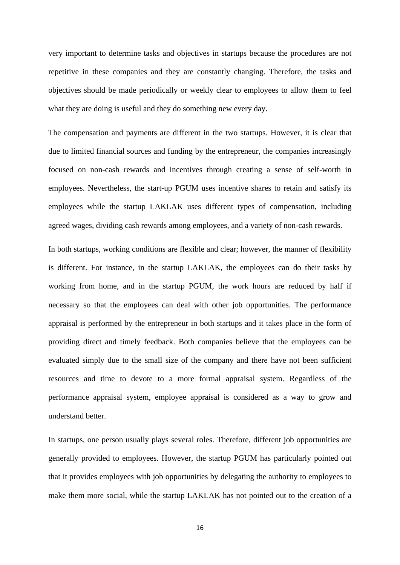very important to determine tasks and objectives in startups because the procedures are not repetitive in these companies and they are constantly changing. Therefore, the tasks and objectives should be made periodically or weekly clear to employees to allow them to feel what they are doing is useful and they do something new every day.

The compensation and payments are different in the two startups. However, it is clear that due to limited financial sources and funding by the entrepreneur, the companies increasingly focused on non-cash rewards and incentives through creating a sense of self-worth in employees. Nevertheless, the start-up PGUM uses incentive shares to retain and satisfy its employees while the startup LAKLAK uses different types of compensation, including agreed wages, dividing cash rewards among employees, and a variety of non-cash rewards.

In both startups, working conditions are flexible and clear; however, the manner of flexibility is different. For instance, in the startup LAKLAK, the employees can do their tasks by working from home, and in the startup PGUM, the work hours are reduced by half if necessary so that the employees can deal with other job opportunities. The performance appraisal is performed by the entrepreneur in both startups and it takes place in the form of providing direct and timely feedback. Both companies believe that the employees can be evaluated simply due to the small size of the company and there have not been sufficient resources and time to devote to a more formal appraisal system. Regardless of the performance appraisal system, employee appraisal is considered as a way to grow and understand better.

In startups, one person usually plays several roles. Therefore, different job opportunities are generally provided to employees. However, the startup PGUM has particularly pointed out that it provides employees with job opportunities by delegating the authority to employees to make them more social, while the startup LAKLAK has not pointed out to the creation of a

16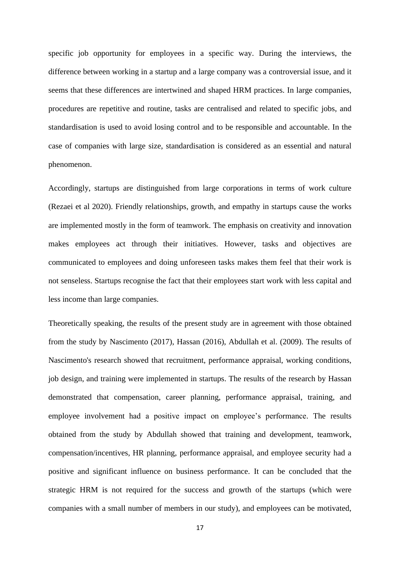specific job opportunity for employees in a specific way. During the interviews, the difference between working in a startup and a large company was a controversial issue, and it seems that these differences are intertwined and shaped HRM practices. In large companies, procedures are repetitive and routine, tasks are centralised and related to specific jobs, and standardisation is used to avoid losing control and to be responsible and accountable. In the case of companies with large size, standardisation is considered as an essential and natural phenomenon.

Accordingly, startups are distinguished from large corporations in terms of work culture (Rezaei et al 2020). Friendly relationships, growth, and empathy in startups cause the works are implemented mostly in the form of teamwork. The emphasis on creativity and innovation makes employees act through their initiatives. However, tasks and objectives are communicated to employees and doing unforeseen tasks makes them feel that their work is not senseless. Startups recognise the fact that their employees start work with less capital and less income than large companies.

Theoretically speaking, the results of the present study are in agreement with those obtained from the study by Nascimento (2017), Hassan (2016), Abdullah et al. (2009). The results of Nascimento's research showed that recruitment, performance appraisal, working conditions, job design, and training were implemented in startups. The results of the research by Hassan demonstrated that compensation, career planning, performance appraisal, training, and employee involvement had a positive impact on employee's performance. The results obtained from the study by Abdullah showed that training and development, teamwork, compensation/incentives, HR planning, performance appraisal, and employee security had a positive and significant influence on business performance. It can be concluded that the strategic HRM is not required for the success and growth of the startups (which were companies with a small number of members in our study), and employees can be motivated,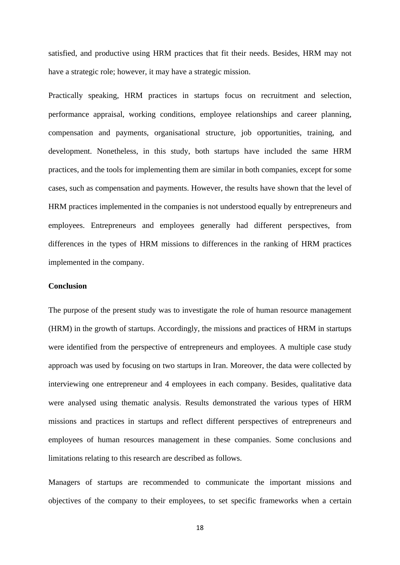satisfied, and productive using HRM practices that fit their needs. Besides, HRM may not have a strategic role; however, it may have a strategic mission.

Practically speaking, HRM practices in startups focus on recruitment and selection, performance appraisal, working conditions, employee relationships and career planning, compensation and payments, organisational structure, job opportunities, training, and development. Nonetheless, in this study, both startups have included the same HRM practices, and the tools for implementing them are similar in both companies, except for some cases, such as compensation and payments. However, the results have shown that the level of HRM practices implemented in the companies is not understood equally by entrepreneurs and employees. Entrepreneurs and employees generally had different perspectives, from differences in the types of HRM missions to differences in the ranking of HRM practices implemented in the company.

#### **Conclusion**

The purpose of the present study was to investigate the role of human resource management (HRM) in the growth of startups. Accordingly, the missions and practices of HRM in startups were identified from the perspective of entrepreneurs and employees. A multiple case study approach was used by focusing on two startups in Iran. Moreover, the data were collected by interviewing one entrepreneur and 4 employees in each company. Besides, qualitative data were analysed using thematic analysis. Results demonstrated the various types of HRM missions and practices in startups and reflect different perspectives of entrepreneurs and employees of human resources management in these companies. Some conclusions and limitations relating to this research are described as follows.

Managers of startups are recommended to communicate the important missions and objectives of the company to their employees, to set specific frameworks when a certain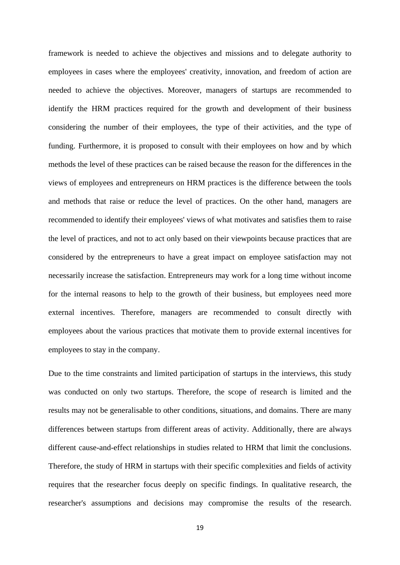framework is needed to achieve the objectives and missions and to delegate authority to employees in cases where the employees' creativity, innovation, and freedom of action are needed to achieve the objectives. Moreover, managers of startups are recommended to identify the HRM practices required for the growth and development of their business considering the number of their employees, the type of their activities, and the type of funding. Furthermore, it is proposed to consult with their employees on how and by which methods the level of these practices can be raised because the reason for the differences in the views of employees and entrepreneurs on HRM practices is the difference between the tools and methods that raise or reduce the level of practices. On the other hand, managers are recommended to identify their employees' views of what motivates and satisfies them to raise the level of practices, and not to act only based on their viewpoints because practices that are considered by the entrepreneurs to have a great impact on employee satisfaction may not necessarily increase the satisfaction. Entrepreneurs may work for a long time without income for the internal reasons to help to the growth of their business, but employees need more external incentives. Therefore, managers are recommended to consult directly with employees about the various practices that motivate them to provide external incentives for employees to stay in the company.

Due to the time constraints and limited participation of startups in the interviews, this study was conducted on only two startups. Therefore, the scope of research is limited and the results may not be generalisable to other conditions, situations, and domains. There are many differences between startups from different areas of activity. Additionally, there are always different cause-and-effect relationships in studies related to HRM that limit the conclusions. Therefore, the study of HRM in startups with their specific complexities and fields of activity requires that the researcher focus deeply on specific findings. In qualitative research, the researcher's assumptions and decisions may compromise the results of the research.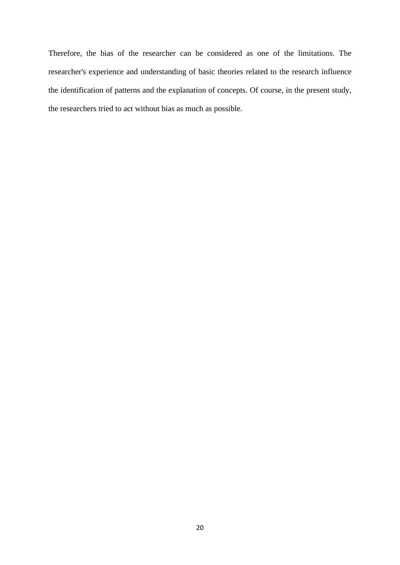Therefore, the bias of the researcher can be considered as one of the limitations. The researcher's experience and understanding of basic theories related to the research influence the identification of patterns and the explanation of concepts. Of course, in the present study, the researchers tried to act without bias as much as possible.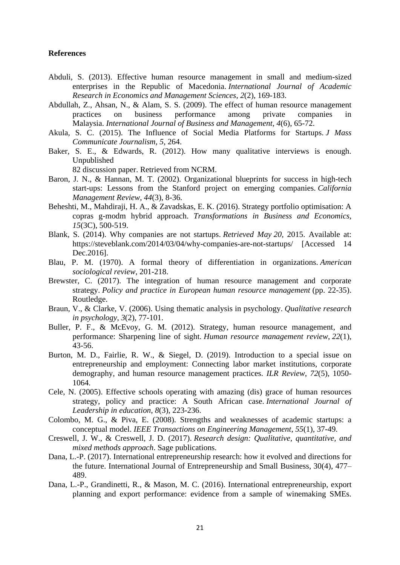### **References**

- Abduli, S. (2013). Effective human resource management in small and medium-sized enterprises in the Republic of Macedonia. *International Journal of Academic Research in Economics and Management Sciences*, *2*(2), 169-183.
- Abdullah, Z., Ahsan, N., & Alam, S. S. (2009). The effect of human resource management practices on business performance among private companies in Malaysia. *International Journal of Business and Management*, *4*(6), 65-72.
- Akula, S. C. (2015). The Influence of Social Media Platforms for Startups. *J Mass Communicate Journalism*, *5*, 264.
- Baker, S. E., & Edwards, R. (2012). How many qualitative interviews is enough. Unpublished

82 discussion paper. Retrieved from NCRM.

- Baron, J. N., & Hannan, M. T. (2002). Organizational blueprints for success in high-tech start-ups: Lessons from the Stanford project on emerging companies. *California Management Review*, *44*(3), 8-36.
- Beheshti, M., Mahdiraji, H. A., & Zavadskas, E. K. (2016). Strategy portfolio optimisation: A copras g-modm hybrid approach. *Transformations in Business and Economics*, *15*(3C), 500-519.
- Blank, S. (2014). Why companies are not startups. *Retrieved May 20*, 2015. Available at: https://steveblank.com/2014/03/04/why-companies-are-not-startups/ [Accessed 14 Dec.2016].
- Blau, P. M. (1970). A formal theory of differentiation in organizations. *American sociological review*, 201-218.
- Brewster, C. (2017). The integration of human resource management and corporate strategy. *Policy and practice in European human resource management* (pp. 22-35). Routledge.
- Braun, V., & Clarke, V. (2006). Using thematic analysis in psychology. *Qualitative research in psychology*, *3*(2), 77-101.
- Buller, P. F., & McEvoy, G. M. (2012). Strategy, human resource management, and performance: Sharpening line of sight. *Human resource management review*, *22*(1), 43-56.
- Burton, M. D., Fairlie, R. W., & Siegel, D. (2019). Introduction to a special issue on entrepreneurship and employment: Connecting labor market institutions, corporate demography, and human resource management practices. *ILR Review*, *72*(5), 1050- 1064.
- Cele, N. (2005). Effective schools operating with amazing (dis) grace of human resources strategy, policy and practice: A South African case. *International Journal of Leadership in education*, *8*(3), 223-236.
- Colombo, M. G., & Piva, E. (2008). Strengths and weaknesses of academic startups: a conceptual model. *IEEE Transactions on Engineering Management*, *55*(1), 37-49.
- Creswell, J. W., & Creswell, J. D. (2017). *Research design: Qualitative, quantitative, and mixed methods approach*. Sage publications.
- Dana, L.-P. (2017). International entrepreneurship research: how it evolved and directions for the future. International Journal of Entrepreneurship and Small Business, 30(4), 477– 489.
- Dana, L.-P., Grandinetti, R., & Mason, M. C. (2016). International entrepreneurship, export planning and export performance: evidence from a sample of winemaking SMEs.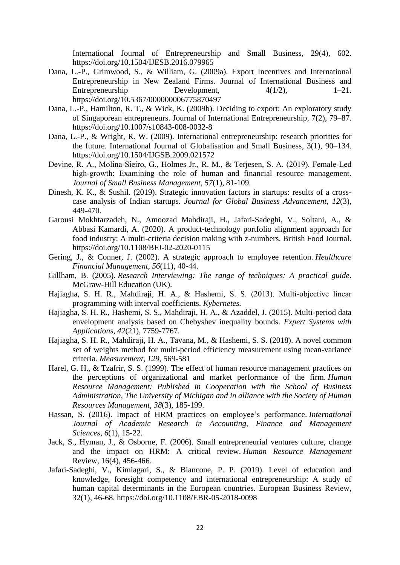International Journal of Entrepreneurship and Small Business, 29(4), 602. https://doi.org/10.1504/IJESB.2016.079965

- Dana, L.-P., Grimwood, S., & William, G. (2009a). Export Incentives and International Entrepreneurship in New Zealand Firms. Journal of International Business and Entrepreneurship Development,  $4(1/2)$ ,  $1-21$ . https://doi.org/10.5367/000000006775870497
- Dana, L.-P., Hamilton, R. T., & Wick, K. (2009b). Deciding to export: An exploratory study of Singaporean entrepreneurs. Journal of International Entrepreneurship, 7(2), 79–87. https://doi.org/10.1007/s10843-008-0032-8
- Dana, L.-P., & Wright, R. W. (2009). International entrepreneurship: research priorities for the future. International Journal of Globalisation and Small Business, 3(1), 90–134. https://doi.org/10.1504/IJGSB.2009.021572
- Devine, R. A., Molina‐Sieiro, G., Holmes Jr., R. M., & Terjesen, S. A. (2019). Female‐Led high-growth: Examining the role of human and financial resource management. *Journal of Small Business Management*, *57*(1), 81-109.
- Dinesh, K. K., & Sushil. (2019). Strategic innovation factors in startups: results of a crosscase analysis of Indian startups. *Journal for Global Business Advancement*, *12*(3), 449-470.
- Garousi Mokhtarzadeh, N., Amoozad Mahdiraji, H., Jafari-Sadeghi, V., Soltani, A., & Abbasi Kamardi, A. (2020). A product-technology portfolio alignment approach for food industry: A multi-criteria decision making with z-numbers. British Food Journal. https://doi.org/10.1108/BFJ-02-2020-0115
- Gering, J., & Conner, J. (2002). A strategic approach to employee retention. *Healthcare Financial Management*, *56*(11), 40-44.
- Gillham, B. (2005). *Research Interviewing: The range of techniques: A practical guide*. McGraw-Hill Education (UK).
- Hajiagha, S. H. R., Mahdiraji, H. A., & Hashemi, S. S. (2013). Multi‐objective linear programming with interval coefficients. *Kybernetes.*
- Hajiagha, S. H. R., Hashemi, S. S., Mahdiraji, H. A., & Azaddel, J. (2015). Multi-period data envelopment analysis based on Chebyshev inequality bounds. *Expert Systems with Applications*, *42*(21), 7759-7767.
- Hajiagha, S. H. R., Mahdiraji, H. A., Tavana, M., & Hashemi, S. S. (2018). A novel common set of weights method for multi-period efficiency measurement using mean-variance criteria. *Measurement*, *129*, 569-581
- Harel, G. H., & Tzafrir, S. S. (1999). The effect of human resource management practices on the perceptions of organizational and market performance of the firm. *Human Resource Management: Published in Cooperation with the School of Business Administration, The University of Michigan and in alliance with the Society of Human Resources Management*, *38*(3), 185-199.
- Hassan, S. (2016). Impact of HRM practices on employee's performance. *International Journal of Academic Research in Accounting, Finance and Management Sciences*, *6*(1), 15-22.
- Jack, S., Hyman, J., & Osborne, F. (2006). Small entrepreneurial ventures culture, change and the impact on HRM: A critical review. *Human Resource Management*  Review, 16(4), 456-466.
- Jafari-Sadeghi, V., Kimiagari, S., & Biancone, P. P. (2019). Level of education and knowledge, foresight competency and international entrepreneurship: A study of human capital determinants in the European countries. European Business Review, 32(1), 46-68. https://doi.org/10.1108/EBR-05-2018-0098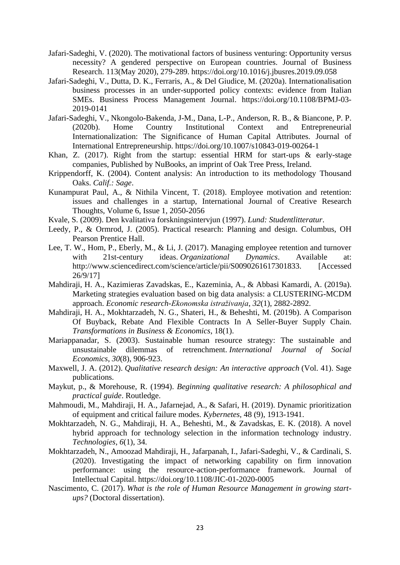- Jafari-Sadeghi, V. (2020). The motivational factors of business venturing: Opportunity versus necessity? A gendered perspective on European countries. Journal of Business Research. 113(May 2020), 279-289. https://doi.org/10.1016/j.jbusres.2019.09.058
- Jafari-Sadeghi, V., Dutta, D. K., Ferraris, A., & Del Giudice, M. (2020a). Internationalisation business processes in an under-supported policy contexts: evidence from Italian SMEs. Business Process Management Journal. https://doi.org/10.1108/BPMJ-03- 2019-0141
- Jafari-Sadeghi, V., Nkongolo-Bakenda, J-M., Dana, L-P., Anderson, R. B., & Biancone, P. P. (2020b). Home Country Institutional Context and Entrepreneurial Internationalization: The Significance of Human Capital Attributes. Journal of International Entrepreneurship. https://doi.org/10.1007/s10843-019-00264-1
- Khan, Z. (2017). Right from the startup: essential HRM for start-ups & early-stage companies, Published by NuBooks, an imprint of Oak Tree Press, Ireland.
- Krippendorff, K. (2004). Content analysis: An introduction to its methodology Thousand Oaks. *Calif.: Sage*.
- Kunampurat Paul, A., & Nithila Vincent, T. (2018). [Employee motivation and retention:](http://www.ijcrt.org/papers/IJCRT1802267.pdf)  [issues and challenges in a startup, International Journal of Creative Research](http://www.ijcrt.org/papers/IJCRT1802267.pdf)  [Thoughts, Volume 6, Issue 1, 2050-2056](http://www.ijcrt.org/papers/IJCRT1802267.pdf)
- Kvale, S. (2009). Den kvalitativa forskningsintervjun (1997). *Lund: Studentlitteratur*.
- Leedy, P., & Ormrod, J. (2005). Practical research: Planning and design. Columbus, OH Pearson Prentice Hall.
- Lee, T. W., Hom, P., Eberly, M., & Li, J. (2017). Managing employee retention and turnover with 21st-century ideas. *Organizational Dynamics*. Available at: [http://www.sciencedirect.com/science/article/pii/S0090261617301833. \[](http://www.sciencedirect.com/science/article/pii/S0090261617301833.)Accessed 26/9/17]
- Mahdiraji, H. A., Kazimieras Zavadskas, E., Kazeminia, A., & Abbasi Kamardi, A. (2019a). Marketing strategies evaluation based on big data analysis: a CLUSTERING-MCDM approach. *Economic research-Ekonomska istraživanja*, *32*(1), 2882-2892.
- Mahdiraji, H. A., Mokhtarzadeh, N. G., Shateri, H., & Beheshti, M. (2019b). A Comparison Of Buyback, Rebate And Flexible Contracts In A Seller-Buyer Supply Chain. *Transformations in Business & Economics*, 18(1).
- Mariappanadar, S. (2003). Sustainable human resource strategy: The sustainable and unsustainable dilemmas of retrenchment. *International Journal of Social Economics*, *30*(8), 906-923.
- Maxwell, J. A. (2012). *Qualitative research design: An interactive approach* (Vol. 41). Sage publications.
- Maykut, p., & Morehouse, R. (1994). *Beginning qualitative research: A philosophical and practical guide*. Routledge.
- Mahmoudi, M., Mahdiraji, H. A., Jafarnejad, A., & Safari, H. (2019). Dynamic prioritization of equipment and critical failure modes. *Kybernetes,* 48 (9), 1913-1941.
- Mokhtarzadeh, N. G., Mahdiraji, H. A., Beheshti, M., & Zavadskas, E. K. (2018). A novel hybrid approach for technology selection in the information technology industry. *Technologies*, *6*(1), 34.
- Mokhtarzadeh, N., Amoozad Mahdiraji, H., Jafarpanah, I., Jafari-Sadeghi, V., & Cardinali, S. (2020). Investigating the impact of networking capability on firm innovation performance: using the resource-action-performance framework. Journal of Intellectual Capital. https://doi.org/10.1108/JIC-01-2020-0005
- Nascimento, C. (2017). *What is the role of Human Resource Management in growing startups?* (Doctoral dissertation).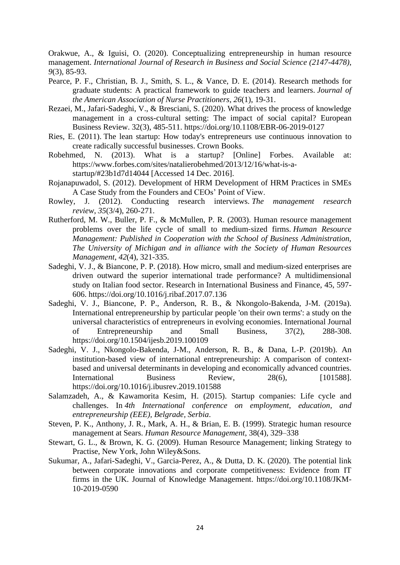Orakwue, A., & Iguisi, O. (2020). Conceptualizing entrepreneurship in human resource management. *International Journal of Research in Business and Social Science (2147-4478)*, *9*(3), 85-93.

- Pearce, P. F., Christian, B. J., Smith, S. L., & Vance, D. E. (2014). Research methods for graduate students: A practical framework to guide teachers and learners. *Journal of the American Association of Nurse Practitioners*, *26*(1), 19-31.
- Rezaei, M., Jafari-Sadeghi, V., & Bresciani, S. (2020). What drives the process of knowledge management in a cross-cultural setting: The impact of social capital? European Business Review. 32(3), 485-511. https://doi.org/10.1108/EBR-06-2019-0127
- Ries, E. (2011). The lean startup: How today's entrepreneurs use continuous innovation to create radically successful businesses. Crown Books.
- Robehmed, N. (2013). What is a startup? [Online] Forbes. Available at: https://www.forbes.com/sites/natalierobehmed/2013/12/16/what-is-astartup/#23b1d7d14044 [Accessed 14 Dec. 2016].
- Rojanapuwadol, S. (2012). Development of HRM Development of HRM Practices in SMEs A Case Study from the Founders and CEOs' Point of View.
- Rowley, J. (2012). Conducting research interviews. *The management research review*, *35*(3/4), 260-271.
- Rutherford, M. W., Buller, P. F., & McMullen, P. R. (2003). Human resource management problems over the life cycle of small to medium‐sized firms. *Human Resource Management: Published in Cooperation with the School of Business Administration, The University of Michigan and in alliance with the Society of Human Resources Management*, *42*(4), 321-335.
- Sadeghi, V. J., & Biancone, P. P. (2018). How micro, small and medium-sized enterprises are driven outward the superior international trade performance? A multidimensional study on Italian food sector. Research in International Business and Finance, 45, 597- 606. https://doi.org/10.1016/j.ribaf.2017.07.136
- Sadeghi, V. J., Biancone, P. P., Anderson, R. B., & Nkongolo-Bakenda, J-M. (2019a). International entrepreneurship by particular people 'on their own terms': a study on the universal characteristics of entrepreneurs in evolving economies. International Journal of Entrepreneurship and Small Business, 37(2), 288-308. https://doi.org/10.1504/ijesb.2019.100109
- Sadeghi, V. J., Nkongolo-Bakenda, J-M., Anderson, R. B., & Dana, L-P. (2019b). An institution-based view of international entrepreneurship: A comparison of contextbased and universal determinants in developing and economically advanced countries. International Business Review, 28(6), [101588]. https://doi.org/10.1016/j.ibusrev.2019.101588
- Salamzadeh, A., & Kawamorita Kesim, H. (2015). Startup companies: Life cycle and challenges. In *4th International conference on employment, education, and entrepreneurship (EEE), Belgrade, Serbia*.
- Steven, P. K., Anthony, J. R., Mark, A. H., & Brian, E. B. (1999). Strategic human resource management at Sears. *Human Resource Management*, 38(4), 329–338
- Stewart, G. L., & Brown, K. G. (2009). Human Resource Management; linking Strategy to Practise, New York, John Wiley&Sons.
- Sukumar, A., Jafari-Sadeghi, V., Garcia-Perez, A., & Dutta, D. K. (2020). The potential link between corporate innovations and corporate competitiveness: Evidence from IT firms in the UK. Journal of Knowledge Management. https://doi.org/10.1108/JKM-10-2019-0590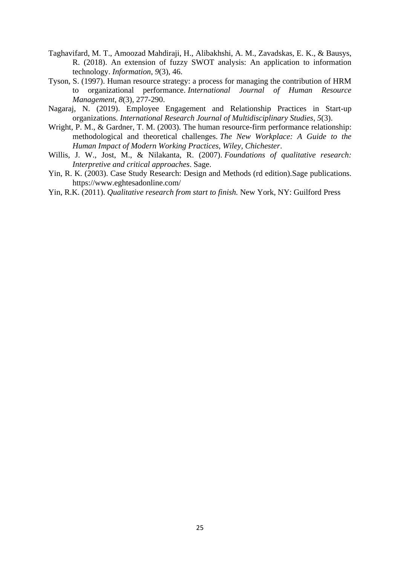- Taghavifard, M. T., Amoozad Mahdiraji, H., Alibakhshi, A. M., Zavadskas, E. K., & Bausys, R. (2018). An extension of fuzzy SWOT analysis: An application to information technology. *Information*, *9*(3), 46.
- Tyson, S. (1997). Human resource strategy: a process for managing the contribution of HRM to organizational performance. *International Journal of Human Resource Management*, *8*(3), 277-290.
- Nagaraj, N. (2019). Employee Engagement and Relationship Practices in Start-up organizations. *International Research Journal of Multidisciplinary Studies*, *5*(3).
- Wright, P. M., & Gardner, T. M. (2003). The human resource-firm performance relationship: methodological and theoretical challenges. *The New Workplace: A Guide to the Human Impact of Modern Working Practices, Wiley, Chichester*.
- Willis, J. W., Jost, M., & Nilakanta, R. (2007). *Foundations of qualitative research: Interpretive and critical approaches*. Sage.
- Yin, R. K. (2003). Case Study Research: Design and Methods (rd edition).Sage publications. <https://www.eghtesadonline.com/>
- Yin, R.K. (2011). *Qualitative research from start to finish.* New York, NY: Guilford Press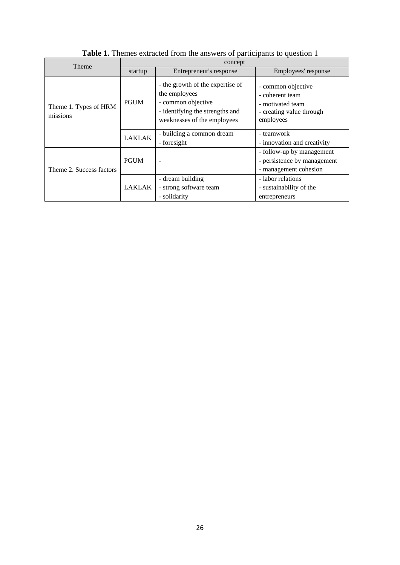| <b>Theme</b>                      | concept       |                                                                                                                                           |                                                                                                    |  |
|-----------------------------------|---------------|-------------------------------------------------------------------------------------------------------------------------------------------|----------------------------------------------------------------------------------------------------|--|
|                                   | startup       | Entrepreneur's response                                                                                                                   | Employees' response                                                                                |  |
| Theme 1. Types of HRM<br>missions | <b>PGUM</b>   | - the growth of the expertise of<br>the employees<br>- common objective<br>- identifying the strengths and<br>weaknesses of the employees | - common objective<br>- coherent team<br>- motivated team<br>- creating value through<br>employees |  |
|                                   | <b>LAKLAK</b> | - building a common dream<br>- foresight                                                                                                  | - teamwork<br>- innovation and creativity                                                          |  |
| Theme 2. Success factors          | <b>PGUM</b>   | $\overline{\phantom{a}}$                                                                                                                  | - follow-up by management<br>- persistence by management<br>- management cohesion                  |  |
|                                   | LAKLAK        | - dream building<br>- strong software team<br>- solidarity                                                                                | - labor relations<br>- sustainability of the<br>entrepreneurs                                      |  |

**Table 1.** Themes extracted from the answers of participants to question 1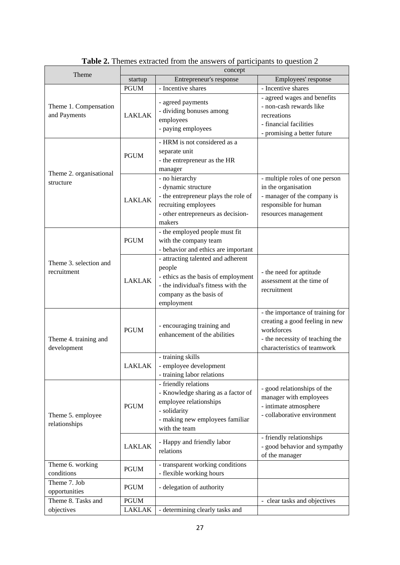| Theme                                 | concept       |                                                                                                                                                                     |                                                                                                                                                    |  |
|---------------------------------------|---------------|---------------------------------------------------------------------------------------------------------------------------------------------------------------------|----------------------------------------------------------------------------------------------------------------------------------------------------|--|
|                                       | startup       | Entrepreneur's response                                                                                                                                             | Employees' response                                                                                                                                |  |
| Theme 1. Compensation<br>and Payments | <b>PGUM</b>   | - Incentive shares                                                                                                                                                  | - Incentive shares                                                                                                                                 |  |
|                                       | <b>LAKLAK</b> | - agreed payments<br>- dividing bonuses among<br>employees<br>- paying employees                                                                                    | - agreed wages and benefits<br>- non-cash rewards like<br>recreations<br>- financial facilities<br>- promising a better future                     |  |
| Theme 2. organisational<br>structure  | <b>PGUM</b>   | - HRM is not considered as a<br>separate unit<br>- the entrepreneur as the HR<br>manager                                                                            |                                                                                                                                                    |  |
|                                       | <b>LAKLAK</b> | - no hierarchy<br>- dynamic structure<br>- the entrepreneur plays the role of<br>recruiting employees<br>- other entrepreneurs as decision-<br>makers               | - multiple roles of one person<br>in the organisation<br>- manager of the company is<br>responsible for human<br>resources management              |  |
| Theme 3, selection and<br>recruitment | <b>PGUM</b>   | - the employed people must fit<br>with the company team<br>- behavior and ethics are important                                                                      |                                                                                                                                                    |  |
|                                       | <b>LAKLAK</b> | - attracting talented and adherent<br>people<br>- ethics as the basis of employment<br>- the individual's fitness with the<br>company as the basis of<br>employment | - the need for aptitude<br>assessment at the time of<br>recruitment                                                                                |  |
| Theme 4. training and<br>development  | <b>PGUM</b>   | - encouraging training and<br>enhancement of the abilities                                                                                                          | - the importance of training for<br>creating a good feeling in new<br>workforces<br>- the necessity of teaching the<br>characteristics of teamwork |  |
|                                       | <b>LAKLAK</b> | - training skills<br>- employee development<br>- training labor relations                                                                                           |                                                                                                                                                    |  |
| Theme 5. employee<br>relationships    | <b>PGUM</b>   | - friendly relations<br>- Knowledge sharing as a factor of<br>employee relationships<br>- solidarity<br>- making new employees familiar<br>with the team            | - good relationships of the<br>manager with employees<br>- intimate atmosphere<br>- collaborative environment                                      |  |
|                                       | <b>LAKLAK</b> | - Happy and friendly labor<br>relations                                                                                                                             | - friendly relationships<br>- good behavior and sympathy<br>of the manager                                                                         |  |
| Theme 6. working<br>conditions        | <b>PGUM</b>   | - transparent working conditions<br>- flexible working hours                                                                                                        |                                                                                                                                                    |  |
| Theme 7. Job<br>opportunities         | <b>PGUM</b>   | - delegation of authority                                                                                                                                           |                                                                                                                                                    |  |
| Theme 8. Tasks and                    | <b>PGUM</b>   |                                                                                                                                                                     | - clear tasks and objectives                                                                                                                       |  |
| objectives                            | LAKLAK        | - determining clearly tasks and                                                                                                                                     |                                                                                                                                                    |  |

**Table 2.** Themes extracted from the answers of participants to question 2